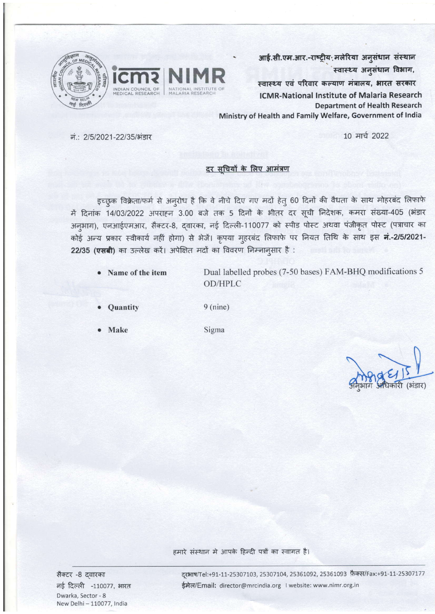



आई.सी.एम.आर.-राष्ट्रीय: मलेरिया अनुसंधान संस्थान स्वास्थ्य अनुसंधान विभाग,

स्वास्थ्य एवं परिवार कल्याण मंत्रालय, भारत सरकार **ICMR-National Institute of Malaria Research Department of Health Research** Ministry of Health and Family Welfare, Government of India

10 मार्च 2022

नं.: 2/5/2021-22/35/भंडार

## दर सुचियों के लिए आमंत्रण

इच्छुक विक्रेता/फर्म से अनुरोध है कि वे नीचे दिए गए मदों हेतु 60 दिनों की वैधता के साथ मोहरबंद लिफाफे में दिनांक 14/03/2022 अपराहन 3.00 बजे तक 5 दिनों के भीतर दर सूची निदेशक, कमरा संख्या-405 (भंडार अनुभाग), एनआईएमआर, सैक्टर-8, द्वारका, नई दिल्ली-110077 को स्पीड पोस्ट अथवा पंजीकृत पोस्ट (पत्राचार का कोई अन्य प्रकार स्वीकार्य नहीं होगा) से भेजें। कृपया मुहरबंद लिफाफे पर नियत तिथि के साथ इस नं.-2/5/2021-22/35 (एसबी) का उल्लेख करें। अपेक्षित मदों का विवरण निम्नानुसार है :

Name of the item

Dual labelled probes (7-50 bases) FAM-BHQ modifications 5 OD/HPLC

Quantity

 $9 (nine)$ 

**Make** 

Sigma

हमारे संस्थान में आपके हिन्दी पत्रों का स्वागत है।

सैक्टर -8 दवारका नई दिल्ली -110077, भारत Dwarka, Sector - 8 New Delhi - 110077, India

दूरभाष/Tel:+91-11-25307103, 25307104, 25361092, 25361093 फ़ैक्स/Fax:+91-11-25307177 ईमेल/Email: director@mrcindia.org | website: www.nimr.org.in